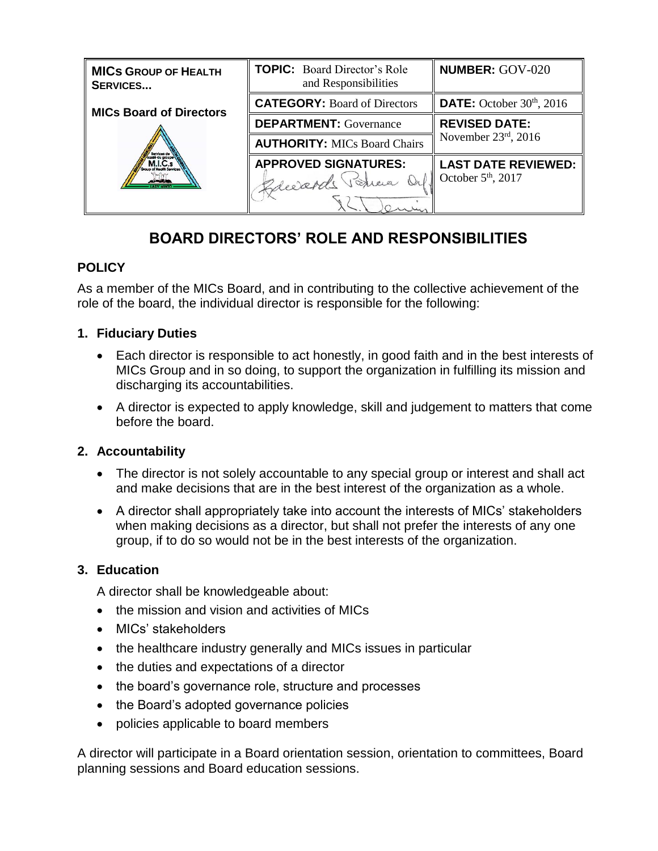| <b>MICS GROUP OF HEALTH</b><br><b>SERVICES</b> | <b>TOPIC:</b> Board Director's Role<br>and Responsibilities | <b>NUMBER: GOV-020</b>             |
|------------------------------------------------|-------------------------------------------------------------|------------------------------------|
| <b>MICs Board of Directors</b>                 | <b>CATEGORY: Board of Directors</b>                         | <b>DATE:</b> October $30th$ , 2016 |
|                                                | <b>DEPARTMENT:</b> Governance                               | <b>REVISED DATE:</b>               |
|                                                | <b>AUTHORITY: MICs Board Chairs</b>                         | November $23rd$ , 2016             |
|                                                | <b>APPROVED SIGNATURES:</b>                                 | <b>LAST DATE REVIEWED:</b>         |
|                                                | Vertica Orl October 5th, 2017<br>Breezards                  |                                    |
|                                                |                                                             |                                    |

# **BOARD DIRECTORS' ROLE AND RESPONSIBILITIES**

# **POLICY**

As a member of the MICs Board, and in contributing to the collective achievement of the role of the board, the individual director is responsible for the following:

# **1. Fiduciary Duties**

- Each director is responsible to act honestly, in good faith and in the best interests of MICs Group and in so doing, to support the organization in fulfilling its mission and discharging its accountabilities.
- A director is expected to apply knowledge, skill and judgement to matters that come before the board.

## **2. Accountability**

- The director is not solely accountable to any special group or interest and shall act and make decisions that are in the best interest of the organization as a whole.
- A director shall appropriately take into account the interests of MICs' stakeholders when making decisions as a director, but shall not prefer the interests of any one group, if to do so would not be in the best interests of the organization.

## **3. Education**

A director shall be knowledgeable about:

- the mission and vision and activities of MICs
- MICs' stakeholders
- the healthcare industry generally and MICs issues in particular
- the duties and expectations of a director
- the board's governance role, structure and processes
- the Board's adopted governance policies
- policies applicable to board members

A director will participate in a Board orientation session, orientation to committees, Board planning sessions and Board education sessions.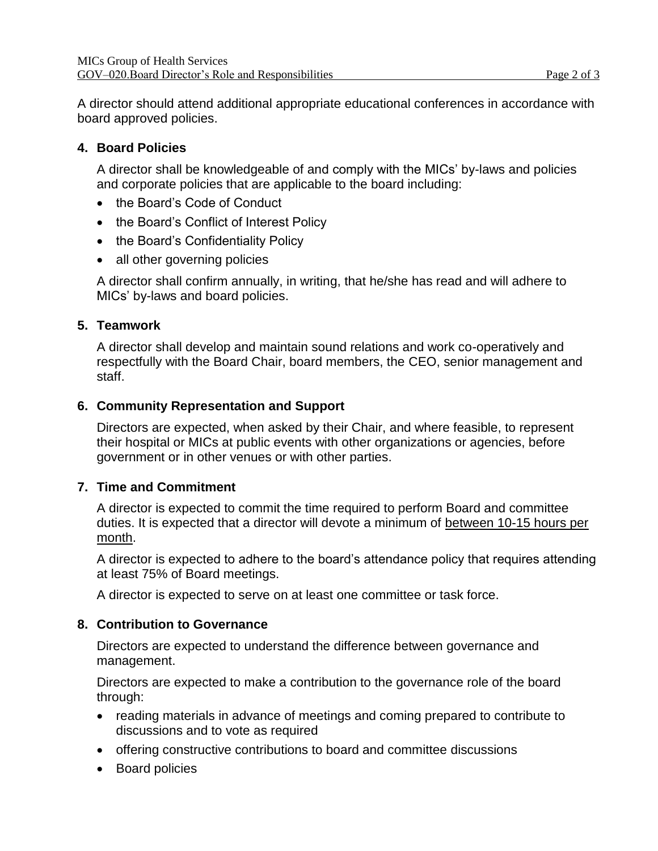A director should attend additional appropriate educational conferences in accordance with board approved policies.

### **4. Board Policies**

A director shall be knowledgeable of and comply with the MICs' by-laws and policies and corporate policies that are applicable to the board including:

- the Board's Code of Conduct
- the Board's Conflict of Interest Policy
- the Board's Confidentiality Policy
- all other governing policies

A director shall confirm annually, in writing, that he/she has read and will adhere to MICs' by-laws and board policies.

#### **5. Teamwork**

A director shall develop and maintain sound relations and work co-operatively and respectfully with the Board Chair, board members, the CEO, senior management and staff.

#### **6. Community Representation and Support**

Directors are expected, when asked by their Chair, and where feasible, to represent their hospital or MICs at public events with other organizations or agencies, before government or in other venues or with other parties.

## **7. Time and Commitment**

A director is expected to commit the time required to perform Board and committee duties. It is expected that a director will devote a minimum of between 10-15 hours per month.

A director is expected to adhere to the board's attendance policy that requires attending at least 75% of Board meetings.

A director is expected to serve on at least one committee or task force.

#### **8. Contribution to Governance**

Directors are expected to understand the difference between governance and management.

Directors are expected to make a contribution to the governance role of the board through:

- reading materials in advance of meetings and coming prepared to contribute to discussions and to vote as required
- offering constructive contributions to board and committee discussions
- Board policies